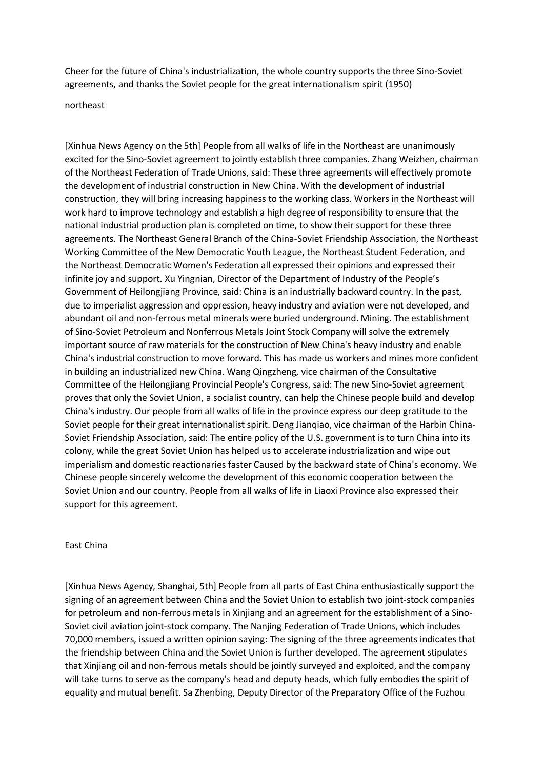Cheer for the future of China's industrialization, the whole country supports the three Sino-Soviet agreements, and thanks the Soviet people for the great internationalism spirit (1950)

## northeast

[Xinhua News Agency on the 5th] People from all walks of life in the Northeast are unanimously excited for the Sino-Soviet agreement to jointly establish three companies. Zhang Weizhen, chairman of the Northeast Federation of Trade Unions, said: These three agreements will effectively promote the development of industrial construction in New China. With the development of industrial construction, they will bring increasing happiness to the working class. Workers in the Northeast will work hard to improve technology and establish a high degree of responsibility to ensure that the national industrial production plan is completed on time, to show their support for these three agreements. The Northeast General Branch of the China-Soviet Friendship Association, the Northeast Working Committee of the New Democratic Youth League, the Northeast Student Federation, and the Northeast Democratic Women's Federation all expressed their opinions and expressed their infinite joy and support. Xu Yingnian, Director of the Department of Industry of the People's Government of Heilongjiang Province, said: China is an industrially backward country. In the past, due to imperialist aggression and oppression, heavy industry and aviation were not developed, and abundant oil and non-ferrous metal minerals were buried underground. Mining. The establishment of Sino-Soviet Petroleum and Nonferrous Metals Joint Stock Company will solve the extremely important source of raw materials for the construction of New China's heavy industry and enable China's industrial construction to move forward. This has made us workers and mines more confident in building an industrialized new China. Wang Qingzheng, vice chairman of the Consultative Committee of the Heilongjiang Provincial People's Congress, said: The new Sino-Soviet agreement proves that only the Soviet Union, a socialist country, can help the Chinese people build and develop China's industry. Our people from all walks of life in the province express our deep gratitude to the Soviet people for their great internationalist spirit. Deng Jianqiao, vice chairman of the Harbin China-Soviet Friendship Association, said: The entire policy of the U.S. government is to turn China into its colony, while the great Soviet Union has helped us to accelerate industrialization and wipe out imperialism and domestic reactionaries faster Caused by the backward state of China's economy. We Chinese people sincerely welcome the development of this economic cooperation between the Soviet Union and our country. People from all walks of life in Liaoxi Province also expressed their support for this agreement.

## East China

[Xinhua News Agency, Shanghai, 5th] People from all parts of East China enthusiastically support the signing of an agreement between China and the Soviet Union to establish two joint-stock companies for petroleum and non-ferrous metals in Xinjiang and an agreement for the establishment of a Sino-Soviet civil aviation joint-stock company. The Nanjing Federation of Trade Unions, which includes 70,000 members, issued a written opinion saying: The signing of the three agreements indicates that the friendship between China and the Soviet Union is further developed. The agreement stipulates that Xinjiang oil and non-ferrous metals should be jointly surveyed and exploited, and the company will take turns to serve as the company's head and deputy heads, which fully embodies the spirit of equality and mutual benefit. Sa Zhenbing, Deputy Director of the Preparatory Office of the Fuzhou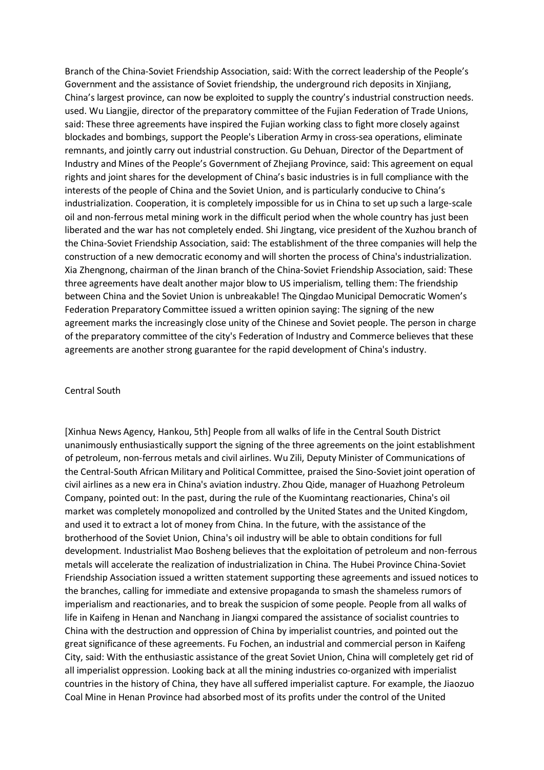Branch of the China-Soviet Friendship Association, said: With the correct leadership of the People's Government and the assistance of Soviet friendship, the underground rich deposits in Xinjiang, China's largest province, can now be exploited to supply the country's industrial construction needs. used. Wu Liangjie, director of the preparatory committee of the Fujian Federation of Trade Unions, said: These three agreements have inspired the Fujian working class to fight more closely against blockades and bombings, support the People's Liberation Army in cross-sea operations, eliminate remnants, and jointly carry out industrial construction. Gu Dehuan, Director of the Department of Industry and Mines of the People's Government of Zhejiang Province, said: This agreement on equal rights and joint shares for the development of China's basic industries is in full compliance with the interests of the people of China and the Soviet Union, and is particularly conducive to China's industrialization. Cooperation, it is completely impossible for us in China to set up such a large-scale oil and non-ferrous metal mining work in the difficult period when the whole country has just been liberated and the war has not completely ended. Shi Jingtang, vice president of the Xuzhou branch of the China-Soviet Friendship Association, said: The establishment of the three companies will help the construction of a new democratic economy and will shorten the process of China's industrialization. Xia Zhengnong, chairman of the Jinan branch of the China-Soviet Friendship Association, said: These three agreements have dealt another major blow to US imperialism, telling them: The friendship between China and the Soviet Union is unbreakable! The Qingdao Municipal Democratic Women's Federation Preparatory Committee issued a written opinion saying: The signing of the new agreement marks the increasingly close unity of the Chinese and Soviet people. The person in charge of the preparatory committee of the city's Federation of Industry and Commerce believes that these agreements are another strong guarantee for the rapid development of China's industry.

## Central South

[Xinhua News Agency, Hankou, 5th] People from all walks of life in the Central South District unanimously enthusiastically support the signing of the three agreements on the joint establishment of petroleum, non-ferrous metals and civil airlines. Wu Zili, Deputy Minister of Communications of the Central-South African Military and Political Committee, praised the Sino-Soviet joint operation of civil airlines as a new era in China's aviation industry. Zhou Qide, manager of Huazhong Petroleum Company, pointed out: In the past, during the rule of the Kuomintang reactionaries, China's oil market was completely monopolized and controlled by the United States and the United Kingdom, and used it to extract a lot of money from China. In the future, with the assistance of the brotherhood of the Soviet Union, China's oil industry will be able to obtain conditions for full development. Industrialist Mao Bosheng believes that the exploitation of petroleum and non-ferrous metals will accelerate the realization of industrialization in China. The Hubei Province China-Soviet Friendship Association issued a written statement supporting these agreements and issued notices to the branches, calling for immediate and extensive propaganda to smash the shameless rumors of imperialism and reactionaries, and to break the suspicion of some people. People from all walks of life in Kaifeng in Henan and Nanchang in Jiangxi compared the assistance of socialist countries to China with the destruction and oppression of China by imperialist countries, and pointed out the great significance of these agreements. Fu Fochen, an industrial and commercial person in Kaifeng City, said: With the enthusiastic assistance of the great Soviet Union, China will completely get rid of all imperialist oppression. Looking back at all the mining industries co-organized with imperialist countries in the history of China, they have all suffered imperialist capture. For example, the Jiaozuo Coal Mine in Henan Province had absorbed most of its profits under the control of the United